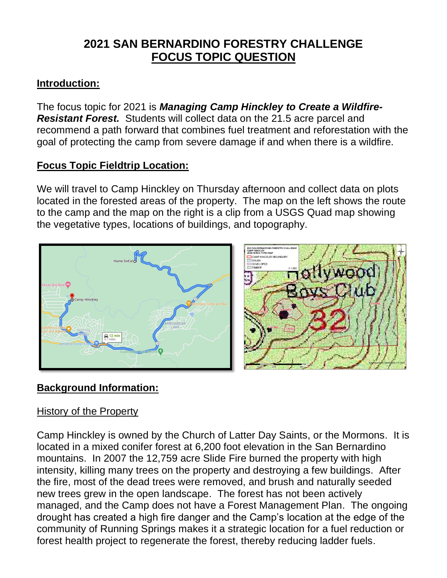# **2021 SAN BERNARDINO FORESTRY CHALLENGE FOCUS TOPIC QUESTION**

## **Introduction:**

The focus topic for 2021 is *Managing Camp Hinckley to Create a Wildfire-Resistant Forest.* Students will collect data on the 21.5 acre parcel and recommend a path forward that combines fuel treatment and reforestation with the goal of protecting the camp from severe damage if and when there is a wildfire.

## **Focus Topic Fieldtrip Location:**

We will travel to Camp Hinckley on Thursday afternoon and collect data on plots located in the forested areas of the property. The map on the left shows the route to the camp and the map on the right is a clip from a USGS Quad map showing the vegetative types, locations of buildings, and topography.



# **Background Information:**

#### History of the Property

Camp Hinckley is owned by the Church of Latter Day Saints, or the Mormons. It is located in a mixed conifer forest at 6,200 foot elevation in the San Bernardino mountains. In 2007 the 12,759 acre Slide Fire burned the property with high intensity, killing many trees on the property and destroying a few buildings. After the fire, most of the dead trees were removed, and brush and naturally seeded new trees grew in the open landscape. The forest has not been actively managed, and the Camp does not have a Forest Management Plan. The ongoing drought has created a high fire danger and the Camp's location at the edge of the community of Running Springs makes it a strategic location for a fuel reduction or forest health project to regenerate the forest, thereby reducing ladder fuels.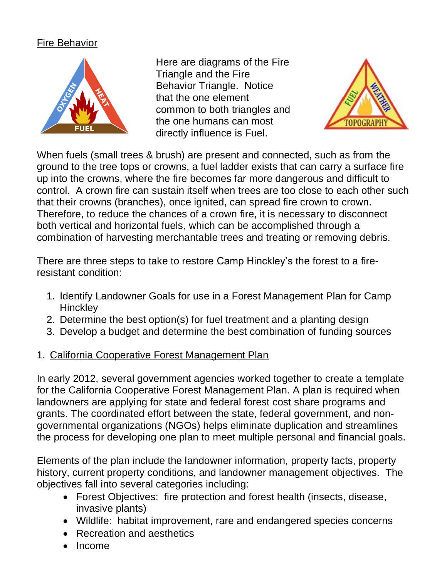## Fire Behavior



Here are diagrams of the Fire Triangle and the Fire Behavior Triangle. Notice that the one element common to both triangles and the one humans can most directly influence is Fuel.



When fuels (small trees & brush) are present and connected, such as from the ground to the tree tops or crowns, a fuel ladder exists that can carry a surface fire up into the crowns, where the fire becomes far more dangerous and difficult to control. A crown fire can sustain itself when trees are too close to each other such that their crowns (branches), once ignited, can spread fire crown to crown. Therefore, to reduce the chances of a crown fire, it is necessary to disconnect both vertical and horizontal fuels, which can be accomplished through a combination of harvesting merchantable trees and treating or removing debris.

There are three steps to take to restore Camp Hinckley's the forest to a fireresistant condition:

- 1. Identify Landowner Goals for use in a Forest Management Plan for Camp **Hinckley**
- 2. Determine the best option(s) for fuel treatment and a planting design
- 3. Develop a budget and determine the best combination of funding sources
- 1. California Cooperative Forest Management Plan

In early 2012, several government agencies worked together to create a template for the California Cooperative Forest Management Plan. A plan is required when landowners are applying for state and federal forest cost share programs and grants. The coordinated effort between the state, federal government, and nongovernmental organizations (NGOs) helps eliminate duplication and streamlines the process for developing one plan to meet multiple personal and financial goals.

Elements of the plan include the landowner information, property facts, property history, current property conditions, and landowner management objectives. The objectives fall into several categories including:

- Forest Objectives: fire protection and forest health (insects, disease, invasive plants)
- Wildlife: habitat improvement, rare and endangered species concerns
- Recreation and aesthetics
- Income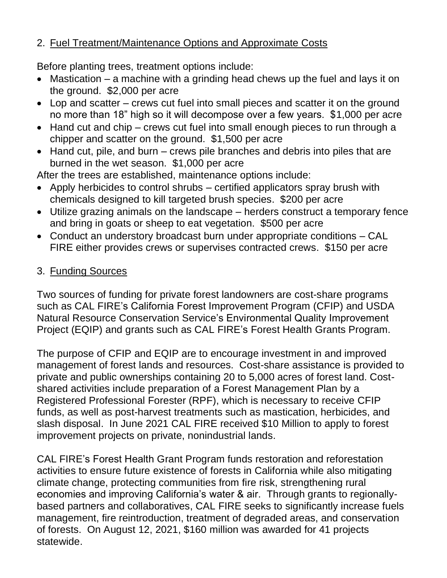#### 2. Fuel Treatment/Maintenance Options and Approximate Costs

Before planting trees, treatment options include:

- Mastication a machine with a grinding head chews up the fuel and lays it on the ground. \$2,000 per acre
- Lop and scatter crews cut fuel into small pieces and scatter it on the ground no more than 18" high so it will decompose over a few years. \$1,000 per acre
- Hand cut and chip crews cut fuel into small enough pieces to run through a chipper and scatter on the ground. \$1,500 per acre
- Hand cut, pile, and burn crews pile branches and debris into piles that are burned in the wet season. \$1,000 per acre

After the trees are established, maintenance options include:

- Apply herbicides to control shrubs certified applicators spray brush with chemicals designed to kill targeted brush species. \$200 per acre
- Utilize grazing animals on the landscape herders construct a temporary fence and bring in goats or sheep to eat vegetation. \$500 per acre
- Conduct an understory broadcast burn under appropriate conditions CAL FIRE either provides crews or supervises contracted crews. \$150 per acre

#### 3. Funding Sources

Two sources of funding for private forest landowners are cost-share programs such as CAL FIRE's California Forest Improvement Program (CFIP) and USDA Natural Resource Conservation Service's Environmental Quality Improvement Project (EQIP) and grants such as CAL FIRE's Forest Health Grants Program.

The purpose of CFIP and EQIP are to encourage investment in and improved management of forest lands and resources. Cost-share assistance is provided to private and public ownerships containing 20 to 5,000 acres of forest land. Costshared activities include preparation of a Forest Management Plan by a Registered Professional Forester (RPF), which is necessary to receive CFIP funds, as well as post-harvest treatments such as mastication, herbicides, and slash disposal. In June 2021 CAL FIRE received \$10 Million to apply to forest improvement projects on private, nonindustrial lands.

CAL FIRE's Forest Health Grant Program funds restoration and reforestation activities to ensure future existence of forests in California while also mitigating climate change, protecting communities from fire risk, strengthening rural economies and improving California's water & air. Through grants to regionallybased partners and collaboratives, CAL FIRE seeks to significantly increase fuels management, fire reintroduction, treatment of degraded areas, and conservation of forests. On August 12, 2021, \$160 million was awarded for 41 projects statewide.